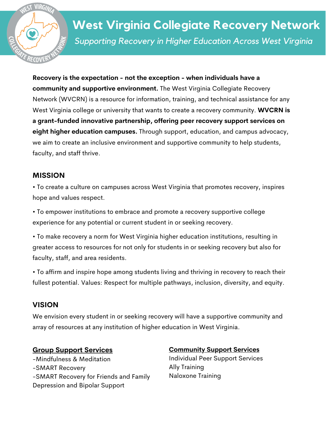

# *Supporting Recovery in Higher Education Across West Virginia* **West Virginia Collegiate Recovery Network**

**Recovery is the expectation - not the exception - when individuals have a community and supportive environment.** The West Virginia Collegiate Recovery Network (WVCRN) is a resource for information, training, and technical assistance for any West Virginia college or university that wants to create a recovery community. **WVCRN is a grant-funded innovative partnership, offering peer recovery support services on eight higher education campuses.** Through support, education, and campus advocacy, we aim to create an inclusive environment and supportive community to help students, faculty, and staff thrive.

#### **MISSION**

• To create a culture on campuses across West Virginia that promotes recovery, inspires hope and values respect.

• To empower institutions to embrace and promote a recovery supportive college experience for any potential or current student in or seeking recovery.

• To make recovery a norm for West Virginia higher education institutions, resulting in greater access to resources for not only for students in or seeking recovery but also for faculty, staff, and area residents.

• To affirm and inspire hope among students living and thriving in recovery to reach their fullest potential. Values: Respect for multiple pathways, inclusion, diversity, and equity.

## **VISION**

We envision every student in or seeking recovery will have a supportive community and array of resources at any institution of higher education in West Virginia.

#### **Group Support Services**

-Mindfulness & Meditation -SMART Recovery -SMART Recovery for Friends and Family Depression and Bipolar Support

#### **Community Support Services**

Individual Peer Support Services Ally Training Naloxone Training